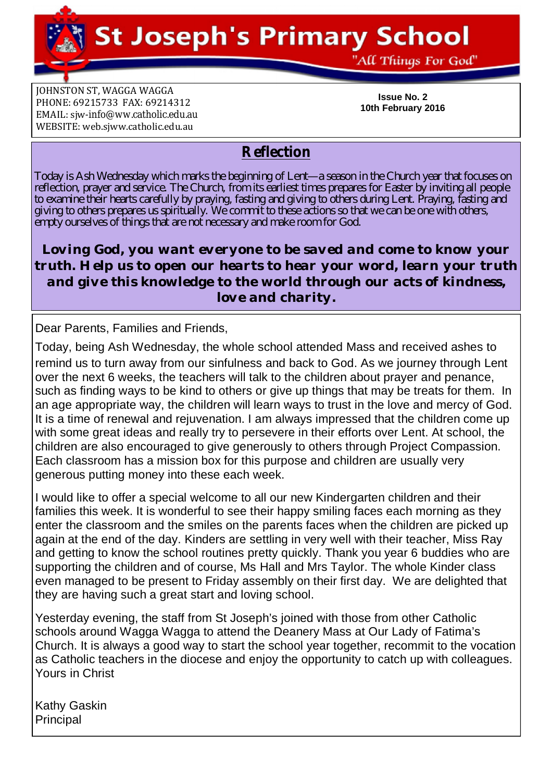**St Joseph's Primary School** 

**JOHNSTON ST, WAGGA WAGGA** PHONE: 69215733 FAX: 69214312 EMAIL: siw[-info@ww.catholic.edu.au](mailto:-info@ww.catholic.edu.au) WEBSITE: web.sjww.catholic.edu.au

**Issue No. 2 10th February 2016**

"All Things For God"

# **Reflection**

Today is Ash Wednesday which marks the beginning of Lent—a season in the Church year that focuses on reflection, prayer and service. The Church, from its earliest times prepares for Easter by inviting all people to examine their hearts carefully by praying, fasting and giving to others during Lent. Praying, fasting and giving to others prepares us spiritually. We commit to these actions so that we can be one with others, empty ourselves of things that are not necessary and make room for God.

*Loving God, you want everyone to be saved and come to know your truth. Help us to open our hearts to hear your word, learn your truth and give this knowledge to the world through our acts of kindness, love and charity.*

Dear Parents, Families and Friends,

Today, being Ash Wednesday, the whole school attended Mass and received ashes to remind us to turn away from our sinfulness and back to God. As we journey through Lent over the next 6 weeks, the teachers will talk to the children about prayer and penance, such as finding ways to be kind to others or give up things that may be treats for them. In an age appropriate way, the children will learn ways to trust in the love and mercy of God. It is a time of renewal and rejuvenation. I am always impressed that the children come up with some great ideas and really try to persevere in their efforts over Lent. At school, the children are also encouraged to give generously to others through Project Compassion. Each classroom has a mission box for this purpose and children are usually very generous putting money into these each week.

I would like to offer a special welcome to all our new Kindergarten children and their families this week. It is wonderful to see their happy smiling faces each morning as they enter the classroom and the smiles on the parents faces when the children are picked up again at the end of the day. Kinders are settling in very well with their teacher, Miss Ray and getting to know the school routines pretty quickly. Thank you year 6 buddies who are supporting the children and of course, Ms Hall and Mrs Taylor. The whole Kinder class even managed to be present to Friday assembly on their first day. We are delighted that they are having such a great start and loving school.

Yesterday evening, the staff from St Joseph's joined with those from other Catholic schools around Wagga Wagga to attend the Deanery Mass at Our Lady of Fatima's Church. It is always a good way to start the school year together, recommit to the vocation as Catholic teachers in the diocese and enjoy the opportunity to catch up with colleagues. Yours in Christ

Kathy Gaskin **Principal**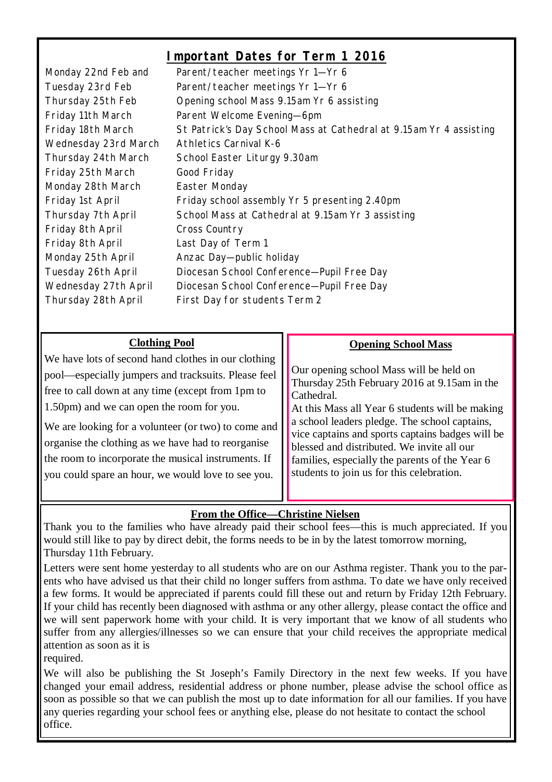# **Important Dates for Term 1 2016**

Monday 22nd Feb and Parent/teacher meetings Yr 1—Yr 6 Tuesday 23rd Feb Parent/teacher meetings Yr 1—Yr 6 Thursday 25th Feb Opening school Mass 9.15am Yr 6 assisting Friday 11th March Parent Welcome Evening-6pm Friday 18th March St Patrick's Day School Mass at Cathedral at 9.15am Yr 4 assisting Wednesday 23rd March Athletics Carnival K-6 Thursday 24th March School Easter Liturgy 9.30am Friday 25th March Good Friday Monday 28th March Easter Monday Friday 1st April Friday school assembly Yr 5 presenting 2.40pm Thursday 7th April School Mass at Cathedral at 9.15am Yr 3 assisting Friday 8th April Cross Country Friday 8th April Last Day of Term 1 Monday 25th April Anzac Day-public holiday Tuesday 26th April Diocesan School Conference—Pupil Free Day Wednesday 27th April Diocesan School Conference—Pupil Free Day Thursday 28th April First Day for students Term 2

| <b>Clothing Pool</b>                                                                                                                                                                                                                                                                                                                                                                                                                   | <b>Opening School Mass</b>                                                                                                                                                                                                                                                                                                                                                                                 |
|----------------------------------------------------------------------------------------------------------------------------------------------------------------------------------------------------------------------------------------------------------------------------------------------------------------------------------------------------------------------------------------------------------------------------------------|------------------------------------------------------------------------------------------------------------------------------------------------------------------------------------------------------------------------------------------------------------------------------------------------------------------------------------------------------------------------------------------------------------|
| We have lots of second hand clothes in our clothing<br>pool—especially jumpers and tracksuits. Please feel<br>free to call down at any time (except from 1pm to<br>1.50pm) and we can open the room for you.<br>We are looking for a volunteer (or two) to come and<br>organise the clothing as we have had to reorganise<br>the room to incorporate the musical instruments. If<br>you could spare an hour, we would love to see you. | Our opening school Mass will be held on<br>Thursday 25th February 2016 at 9.15am in the<br>Cathedral.<br>At this Mass all Year 6 students will be making<br>a school leaders pledge. The school captains,<br>vice captains and sports captains badges will be<br>blessed and distributed. We invite all our<br>families, especially the parents of the Year 6<br>students to join us for this celebration. |

## **From the Office—Christine Nielsen**

Thank you to the families who have already paid their school fees—this is much appreciated. If you would still like to pay by direct debit, the forms needs to be in by the latest tomorrow morning, Thursday 11th February.

Letters were sent home yesterday to all students who are on our Asthma register. Thank you to the parents who have advised us that their child no longer suffers from asthma. To date we have only received a few forms. It would be appreciated if parents could fill these out and return by Friday 12th February. If your child has recently been diagnosed with asthma or any other allergy, please contact the office and we will sent paperwork home with your child. It is very important that we know of all students who suffer from any allergies/illnesses so we can ensure that your child receives the appropriate medical attention as soon as it is

required.

We will also be publishing the St Joseph's Family Directory in the next few weeks. If you have changed your email address, residential address or phone number, please advise the school office as soon as possible so that we can publish the most up to date information for all our families. If you have any queries regarding your school fees or anything else, please do not hesitate to contact the school office.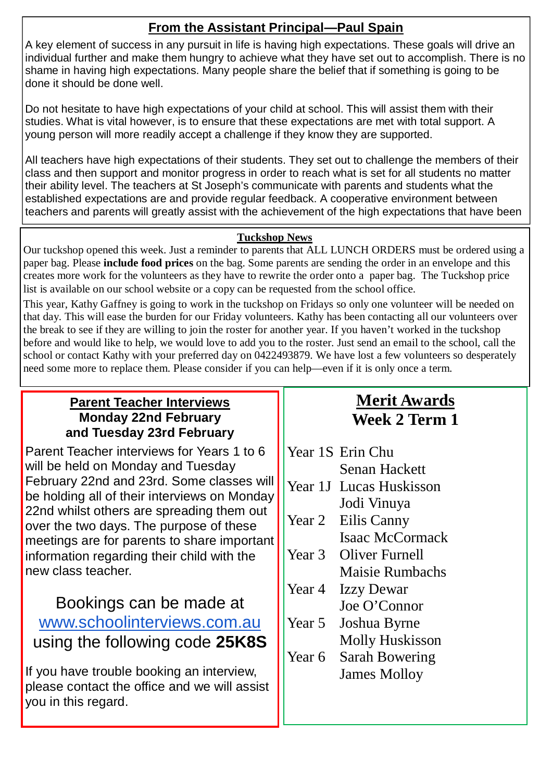# **From the Assistant Principal—Paul Spain**

A key element of success in any pursuit in life is having high expectations. These goals will drive an individual further and make them hungry to achieve what they have set out to accomplish. There is no shame in having high expectations. Many people share the belief that if something is going to be done it should be done well.

Do not hesitate to have high expectations of your child at school. This will assist them with their studies. What is vital however, is to ensure that these expectations are met with total support. A young person will more readily accept a challenge if they know they are supported.

All teachers have high expectations of their students. They set out to challenge the members of their class and then support and monitor progress in order to reach what is set for all students no matter their ability level. The teachers at St Joseph's communicate with parents and students what the established expectations are and provide regular feedback. A cooperative environment between teachers and parents will greatly assist with the achievement of the high expectations that have been

## **Tuckshop News**

Our tuckshop opened this week. Just a reminder to parents that ALL LUNCH ORDERS must be ordered using a paper bag. Please **include food prices** on the bag. Some parents are sending the order in an envelope and this creates more work for the volunteers as they have to rewrite the order onto a paper bag. The Tuckshop price list is available on our school website or a copy can be requested from the school office.

This year, Kathy Gaffney is going to work in the tuckshop on Fridays so only one volunteer will be needed on that day. This will ease the burden for our Friday volunteers. Kathy has been contacting all our volunteers over the break to see if they are willing to join the roster for another year. If you haven't worked in the tuckshop before and would like to help, we would love to add you to the roster. Just send an email to the school, call the school or contact Kathy with your preferred day on 0422493879. We have lost a few volunteers so desperately need some more to replace them. Please consider if you can help—even if it is only once a term.

## **Parent Teacher Interviews Monday 22nd February and Tuesday 23rd February**

Parent Teacher interviews for Years 1 to 6 will be held on Monday and Tuesday February 22nd and 23rd. Some classes will be holding all of their interviews on Monday 22nd whilst others are spreading them out over the two days. The purpose of these meetings are for parents to share important information regarding their child with the new class teacher.

# Bookings can be made at [www.schoolinterviews.com.au](http://www.schoolinterviews.com.au) using the following code **25K8S**

If you have trouble booking an interview, please contact the office and we will assist you in this regard.

# **Merit Awards Week 2 Term 1**

- Year 1S Erin Chu Senan Hackett
- Year 1J Lucas Huskisson Jodi Vinuya
- Year 2 Eilis Canny Isaac McCormack
- Year 3 Oliver Furnell Maisie Rumbachs
- Year 4 Izzy Dewar Joe O'Connor
- Year 5 Joshua Byrne Molly Huskisson
- Year 6 Sarah Bowering James Molloy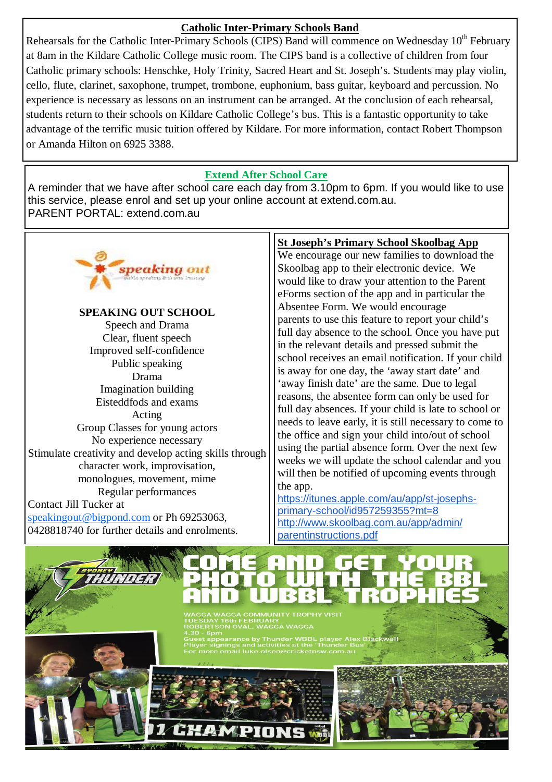#### **Catholic Inter-Primary Schools Band**

Rehearsals for the Catholic Inter-Primary Schools (CIPS) Band will commence on Wednesday 10<sup>th</sup> February at 8am in the Kildare Catholic College music room. The CIPS band is a collective of children from four Catholic primary schools: Henschke, Holy Trinity, Sacred Heart and St. Joseph's. Students may play violin, cello, flute, clarinet, saxophone, trumpet, trombone, euphonium, bass guitar, keyboard and percussion. No experience is necessary as lessons on an instrument can be arranged. At the conclusion of each rehearsal, students return to their schools on Kildare Catholic College's bus. This is a fantastic opportunity to take advantage of the terrific music tuition offered by Kildare. For more information, contact Robert Thompson or Amanda Hilton on 6925 3388.

#### **Extend After School Care**

A reminder that we have after school care each day from 3.10pm to 6pm. If you would like to use this service, please enrol and set up your online account at extend.com.au. PARENT PORTAL: extend.com.au



**SPEAKING OUT SCHOOL**  Speech and Drama Clear, fluent speech Improved self-confidence Public speaking Drama Imagination building Eisteddfods and exams Acting Group Classes for young actors No experience necessary Stimulate creativity and develop acting skills through character work, improvisation, monologues, movement, mime Regular performances

Contact Jill Tucker at [speakingout@bigpond.com](mailto:speakingout@bigpond.com) or Ph 69253063, 0428818740 for further details and enrolments.

#### **St Joseph's Primary School Skoolbag App**

We encourage our new families to download the Skoolbag app to their electronic device. We would like to draw your attention to the Parent eForms section of the app and in particular the Absentee Form. We would encourage parents to use this feature to report your child's full day absence to the school. Once you have put in the relevant details and pressed submit the school receives an email notification. If your child is away for one day, the 'away start date' and 'away finish date' are the same. Due to legal reasons, the absentee form can only be used for full day absences. If your child is late to school or needs to leave early, it is still necessary to come to the office and sign your child into/out of school using the partial absence form. Over the next few weeks we will update the school calendar and you will then be notified of upcoming events through the app.

[https://itunes.apple.com/au/app/st-josephs](https://itunes.apple.com/au/app/st-josephs-)primary-school/id957259355?mt=8 <http://www.skoolbag.com.au/app/admin/> parentinstructions.pdf

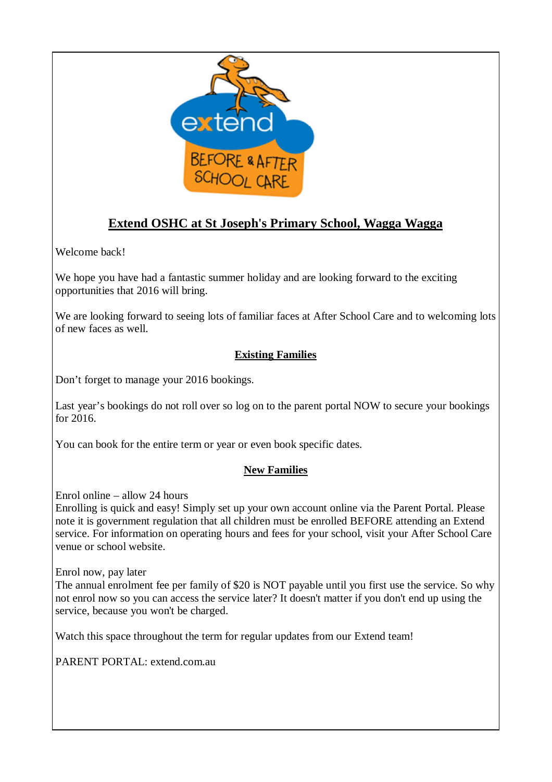

# **Extend OSHC at St Joseph's Primary School, Wagga Wagga**

Welcome back!

We hope you have had a fantastic summer holiday and are looking forward to the exciting opportunities that 2016 will bring.

We are looking forward to seeing lots of familiar faces at After School Care and to welcoming lots of new faces as well.

## **Existing Families**

Don't forget to manage your 2016 bookings.

Last year's bookings do not roll over so log on to the parent portal NOW to secure your bookings for 2016.

You can book for the entire term or year or even book specific dates.

### **New Families**

Enrol online – allow 24 hours

Enrolling is quick and easy! Simply set up your own account online via the Parent Portal. Please note it is government regulation that all children must be enrolled BEFORE attending an Extend service. For information on operating hours and fees for your school, visit your After School Care venue or school website.

Enrol now, pay later

The annual enrolment fee per family of \$20 is NOT payable until you first use the service. So why not enrol now so you can access the service later? It doesn't matter if you don't end up using the service, because you won't be charged.

Watch this space throughout the term for regular updates from our Extend team!

PARENT PORTAL: extend.com.au